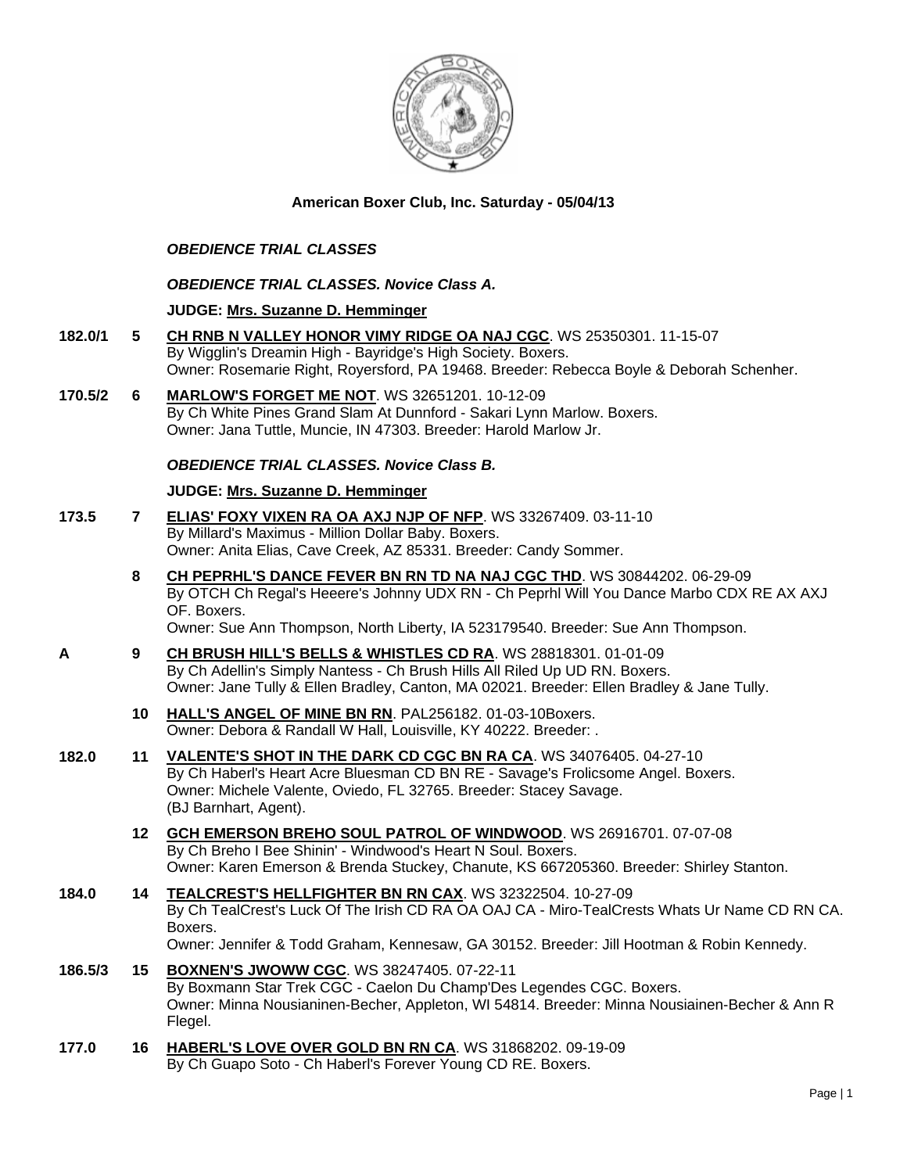

# **American Boxer Club, Inc. Saturday - 05/04/13**

## *OBEDIENCE TRIAL CLASSES*

## *OBEDIENCE TRIAL CLASSES. Novice Class A.*

#### **JUDGE: [Mrs. Suzanne D. Hemminger](http://www.infodog.com/judges/15146/juddat.htm)**

- **182.0/1 5 [CH RNB N VALLEY HONOR VIMY RIDGE OA NAJ CGC](http://www.infodog.com/files/bdogrsl1.prg;makc=WS%2025350301;mdog=Ch_RNB_N_Valley_Honor_Vimy_Ridge_OA_NAJ_CGC;wins=all)**. WS 25350301. 11-15-07 By Wigglin's Dreamin High - Bayridge's High Society. Boxers. Owner: Rosemarie Right, Royersford, PA 19468. Breeder: Rebecca Boyle & Deborah Schenher.
- **170.5/2 6 [MARLOW'S FORGET ME NOT](http://www.infodog.com/files/bdogrsl1.prg;makc=WS%2032651201;mdog=Marlow_s_Forget_Me_Not;wins=all)**. WS 32651201. 10-12-09 By Ch White Pines Grand Slam At Dunnford - Sakari Lynn Marlow. Boxers. Owner: Jana Tuttle, Muncie, IN 47303. Breeder: Harold Marlow Jr.

### *OBEDIENCE TRIAL CLASSES. Novice Class B.*

#### **JUDGE: Mrs. Suzanne [D. Hemminger](http://www.infodog.com/judges/15146/juddat.htm)**

- **173.5 7 [ELIAS' FOXY VIXEN RA OA AXJ NJP OF NFP](http://www.infodog.com/files/bdogrsl1.prg;makc=WS%2033267409;mdog=Elias__Foxy_Vixen_RA_OA_AXJ_NJP_OF_NFP;wins=all)**. WS 33267409. 03-11-10 By Millard's Maximus - Million Dollar Baby. Boxers. Owner: Anita Elias, Cave Creek, AZ 85331. Breeder: Candy Sommer.
	- **8 [CH PEPRHL'S DANCE FEVER BN RN TD NA NAJ CGC THD](http://www.infodog.com/files/bdogrsl1.prg;makc=WS%2030844202;mdog=Ch_Peprhl_s_Dance_Fever_BN_RN_TD_NA_NAJ_CGC_THD;wins=all)**. WS 30844202. 06-29-09 By OTCH Ch Regal's Heeere's Johnny UDX RN - Ch Peprhl Will You Dance Marbo CDX RE AX AXJ OF. Boxers.

Owner: Sue Ann Thompson, North Liberty, IA 523179540. Breeder: Sue Ann Thompson.

- **A 9 [CH BRUSH HILL'S BELLS & WHISTLES CD RA](http://www.infodog.com/files/bdogrsl1.prg;makc=WS%2028818301;mdog=Ch_Brush_Hill_s_Bells_&_Whistles_CD_RA;wins=all)**. WS 28818301. 01-01-09 By Ch Adellin's Simply Nantess - Ch Brush Hills All Riled Up UD RN. Boxers. Owner: Jane Tully & Ellen Bradley, Canton, MA 02021. Breeder: Ellen Bradley & Jane Tully.
	- **10 [HALL'S ANGEL OF MINE BN RN](http://www.infodog.com/files/bdogrsl1.prg;makc=PAL256182;mdog=Hall_s_Angel_Of_Mine_BN_RN;wins=all)**. PAL256182. 01-03-10Boxers. Owner: Debora & Randall W Hall, Louisville, KY 40222. Breeder: .
- **182.0 11 [VALENTE'S SHOT IN THE DARK CD CGC BN RA CA](http://www.infodog.com/files/bdogrsl1.prg;makc=WS%2034076405;mdog=Valente_s_Shot_In_The_Dark_CD_CGC_BN_RA_CA;wins=all)**. WS 34076405. 04-27-10 By Ch Haberl's Heart Acre Bluesman CD BN RE - Savage's Frolicsome Angel. Boxers. Owner: Michele Valente, Oviedo, FL 32765. Breeder: Stacey Savage. (BJ Barnhart, Agent).
	- **12 [GCH EMERSON BREHO SOUL PATROL OF WINDWOOD](http://www.infodog.com/files/bdogrsl1.prg;makc=WS%2026916701;mdog=GCH_Emerson_Breho_Soul_Patrol_Of_Windwood;wins=all)**. WS 26916701. 07-07-08 By Ch Breho I Bee Shinin' - Windwood's Heart N Soul. Boxers. Owner: Karen Emerson & Brenda Stuckey, Chanute, KS 667205360. Breeder: Shirley Stanton.
- **184.0 14 [TEALCREST'S HELLFIGHTER BN RN CAX](http://www.infodog.com/files/bdogrsl1.prg;makc=WS%2032322504;mdog=TealCrest_s_Hellfighter_BN_RN_CAX;wins=all)**. WS 32322504. 10-27-09 By Ch TealCrest's Luck Of The Irish CD RA OA OAJ CA - Miro-TealCrests Whats Ur Name CD RN CA. Boxers. Owner: Jennifer & Todd Graham, Kennesaw, GA 30152. Breeder: Jill Hootman & Robin Kennedy.
- **186.5/3 15 [BOXNEN'S JWOWW CGC](http://www.infodog.com/files/bdogrsl1.prg;makc=WS%2038247405;mdog=Boxnen_s_Jwoww_CGC;wins=all)**. WS 38247405. 07-22-11 By Boxmann Star Trek CGC - Caelon Du Champ'Des Legendes CGC. Boxers. Owner: Minna Nousianinen-Becher, Appleton, WI 54814. Breeder: Minna Nousiainen-Becher & Ann R Flegel.
- **177.0 16 [HABERL'S LOVE OVER GOLD BN RN CA](http://www.infodog.com/files/bdogrsl1.prg;makc=WS%2031868202;mdog=Haberl_s_Love_Over_Gold_BN_RN_CA;wins=all)**. WS 31868202. 09-19-09 By Ch Guapo Soto - Ch Haberl's Forever Young CD RE. Boxers.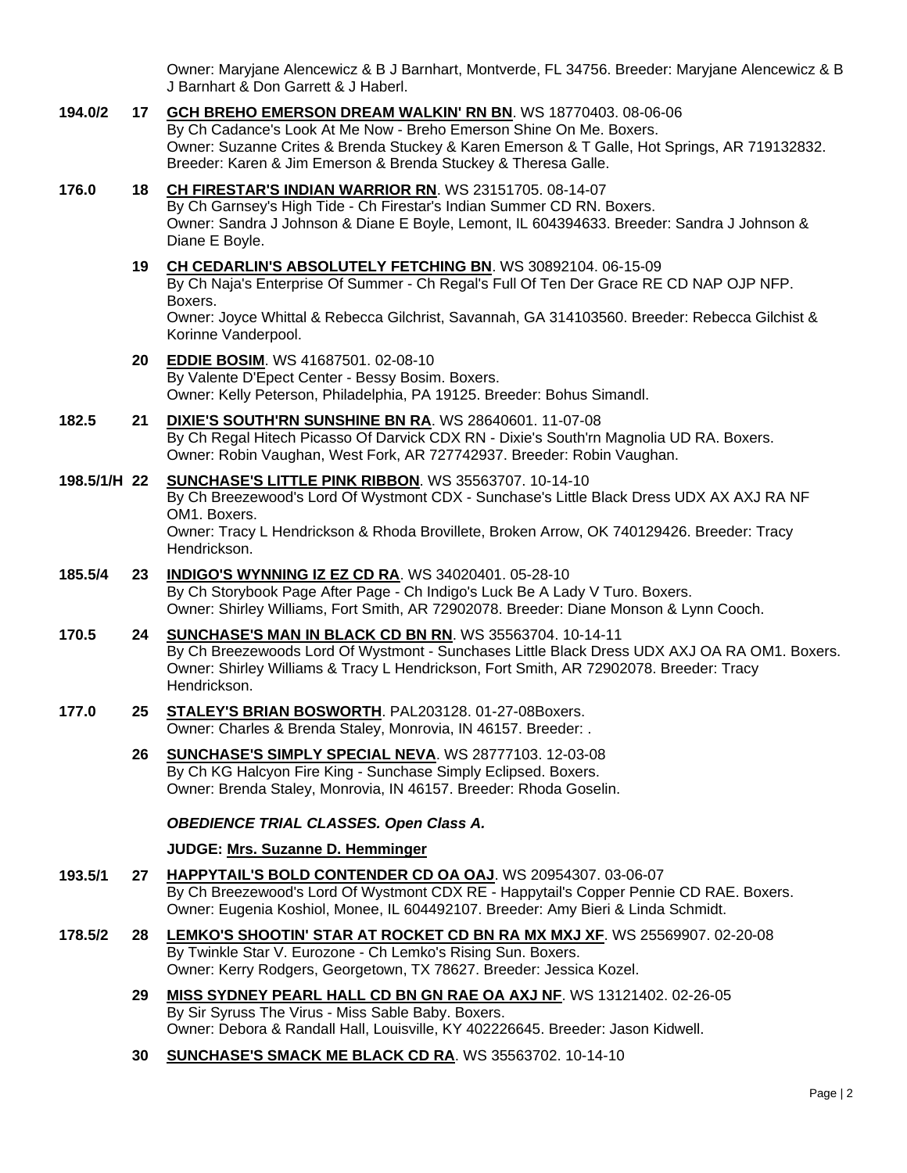Owner: Maryjane Alencewicz & B J Barnhart, Montverde, FL 34756. Breeder: Maryjane Alencewicz & B J Barnhart & Don Garrett & J Haberl.

- **194.0/2 17 [GCH BREHO EMERSON DREAM WALKIN' RN BN](http://www.infodog.com/files/bdogrsl1.prg;makc=WS%2018770403;mdog=GCH_Breho_Emerson_Dream_Walkin__RN_BN;wins=all)**. WS 18770403. 08-06-06 By Ch Cadance's Look At Me Now - Breho Emerson Shine On Me. Boxers. Owner: Suzanne Crites & Brenda Stuckey & Karen Emerson & T Galle, Hot Springs, AR 719132832. Breeder: Karen & Jim Emerson & Brenda Stuckey & Theresa Galle. **176.0 18 [CH FIRESTAR'S INDIAN WARRIOR RN](http://www.infodog.com/files/bdogrsl1.prg;makc=WS%2023151705;mdog=Ch_Firestar_s_Indian_Warrior_RN;wins=all)**. WS 23151705. 08-14-07 By Ch Garnsey's High Tide - Ch Firestar's Indian Summer CD RN. Boxers. Owner: Sandra J Johnson & Diane E Boyle, Lemont, IL 604394633. Breeder: Sandra J Johnson & Diane E Boyle. **19 [CH CEDARLIN'S ABSOLUTELY FETCHING BN](http://www.infodog.com/files/bdogrsl1.prg;makc=WS%2030892104;mdog=Ch_Cedarlin_s_Absolutely_Fetching_BN;wins=all)**. WS 30892104. 06-15-09 By Ch Naja's Enterprise Of Summer - Ch Regal's Full Of Ten Der Grace RE CD NAP OJP NFP. Boxers. Owner: Joyce Whittal & Rebecca Gilchrist, Savannah, GA 314103560. Breeder: Rebecca Gilchist & Korinne Vanderpool. **20 [EDDIE BOSIM](http://www.infodog.com/files/bdogrsl1.prg;makc=WS%2041687501;mdog=Eddie_Bosim;wins=all)**. WS 41687501. 02-08-10 By Valente D'Epect Center - Bessy Bosim. Boxers. Owner: Kelly Peterson, Philadelphia, PA 19125. Breeder: Bohus Simandl. **182.5 21 [DIXIE'S SOUTH'RN SUNSHINE BN RA](http://www.infodog.com/files/bdogrsl1.prg;makc=WS%2028640601;mdog=Dixie_s_South_rn_Sunshine_BN_RA;wins=all)**. WS 28640601. 11-07-08 By Ch Regal Hitech Picasso Of Darvick CDX RN - Dixie's South'rn Magnolia UD RA. Boxers. Owner: Robin Vaughan, West Fork, AR 727742937. Breeder: Robin Vaughan. **198.5/1/H 22 [SUNCHASE'S LITTLE PINK RIBBON](http://www.infodog.com/files/bdogrsl1.prg;makc=WS%2035563707;mdog=Sunchase_s_Little_Pink_Ribbon;wins=all)**. WS 35563707. 10-14-10 By Ch Breezewood's Lord Of Wystmont CDX - Sunchase's Little Black Dress UDX AX AXJ RA NF OM1. Boxers. Owner: Tracy L Hendrickson & Rhoda Brovillete, Broken Arrow, OK 740129426. Breeder: Tracy Hendrickson. **185.5/4 23 [INDIGO'S WYNNING IZ EZ CD RA](http://www.infodog.com/files/bdogrsl1.prg;makc=WS%2034020401;mdog=Indigo_s_Wynning_Iz_Ez_CD_RA;wins=all)**. WS 34020401. 05-28-10 By Ch Storybook Page After Page - Ch Indigo's Luck Be A Lady V Turo. Boxers. Owner: Shirley Williams, Fort Smith, AR 72902078. Breeder: Diane Monson & Lynn Cooch. **170.5 24 [SUNCHASE'S MAN IN BLACK CD BN RN](http://www.infodog.com/files/bdogrsl1.prg;makc=WS%2035563704;mdog=Sunchase_s_Man_In_Black_CD_BN_RN;wins=all)**. WS 35563704. 10-14-11 By Ch Breezewoods Lord Of Wystmont - Sunchases Little Black Dress UDX AXJ OA RA OM1. Boxers. Owner: Shirley Williams & Tracy L Hendrickson, Fort Smith, AR 72902078. Breeder: Tracy Hendrickson. **177.0 25 [STALEY'S BRIAN BOSWORTH](http://www.infodog.com/files/bdogrsl1.prg;makc=PAL203128;mdog=Staley_s_Brian_Bosworth;wins=all)**. PAL203128. 01-27-08Boxers. Owner: Charles & Brenda Staley, Monrovia, IN 46157. Breeder: . **26 [SUNCHASE'S SIMPLY SPECIAL NEVA](http://www.infodog.com/files/bdogrsl1.prg;makc=WS%2028777103;mdog=Sunchase_s_Simply_Special_Neva;wins=all)**. WS 28777103. 12-03-08 By Ch KG Halcyon Fire King - Sunchase Simply Eclipsed. Boxers. Owner: Brenda Staley, Monrovia, IN 46157. Breeder: Rhoda Goselin. *OBEDIENCE TRIAL CLASSES. Open Class A.* **JUDGE: [Mrs. Suzanne D. Hemminger](http://www.infodog.com/judges/15146/juddat.htm) 193.5/1 27 [HAPPYTAIL'S BOLD CONTENDER CD OA OAJ](http://www.infodog.com/files/bdogrsl1.prg;makc=WS%2020954307;mdog=Happytail_s_Bold_Contender_CD_OA_OAJ;wins=all)**. WS 20954307. 03-06-07 By Ch Breezewood's Lord Of Wystmont CDX RE - Happytail's Copper Pennie CD RAE. Boxers. Owner: Eugenia Koshiol, Monee, IL 604492107. Breeder: Amy Bieri & Linda Schmidt. **178.5/2 28 [LEMKO'S SHOOTIN' STAR AT ROCKET CD BN RA MX MXJ XF](http://www.infodog.com/files/bdogrsl1.prg;makc=WS%2025569907;mdog=Lemko_s_Shootin__Star_At_Rocket_CD_BN_RA_MX_MXJ_XF;wins=all)**. WS 25569907. 02-20-08 By Twinkle Star V. Eurozone - Ch Lemko's Rising Sun. Boxers. Owner: Kerry Rodgers, Georgetown, TX 78627. Breeder: Jessica Kozel. **29 [MISS SYDNEY PEARL HALL CD BN GN RAE OA AXJ NF](http://www.infodog.com/files/bdogrsl1.prg;makc=WS%2013121402;mdog=Miss_Sydney_Pearl_Hall_CD_BN_GN_RAE_OA_AXJ_NF;wins=all)**. WS 13121402. 02-26-05 By Sir Syruss The Virus - Miss Sable Baby. Boxers.
	- Owner: Debora & Randall Hall, Louisville, KY 402226645. Breeder: Jason Kidwell.
	- **30 [SUNCHASE'S SMACK ME BLACK CD RA](http://www.infodog.com/files/bdogrsl1.prg;makc=WS%2035563702;mdog=Sunchase_s_Smack_Me_Black_CD_RA;wins=all)**. WS 35563702. 10-14-10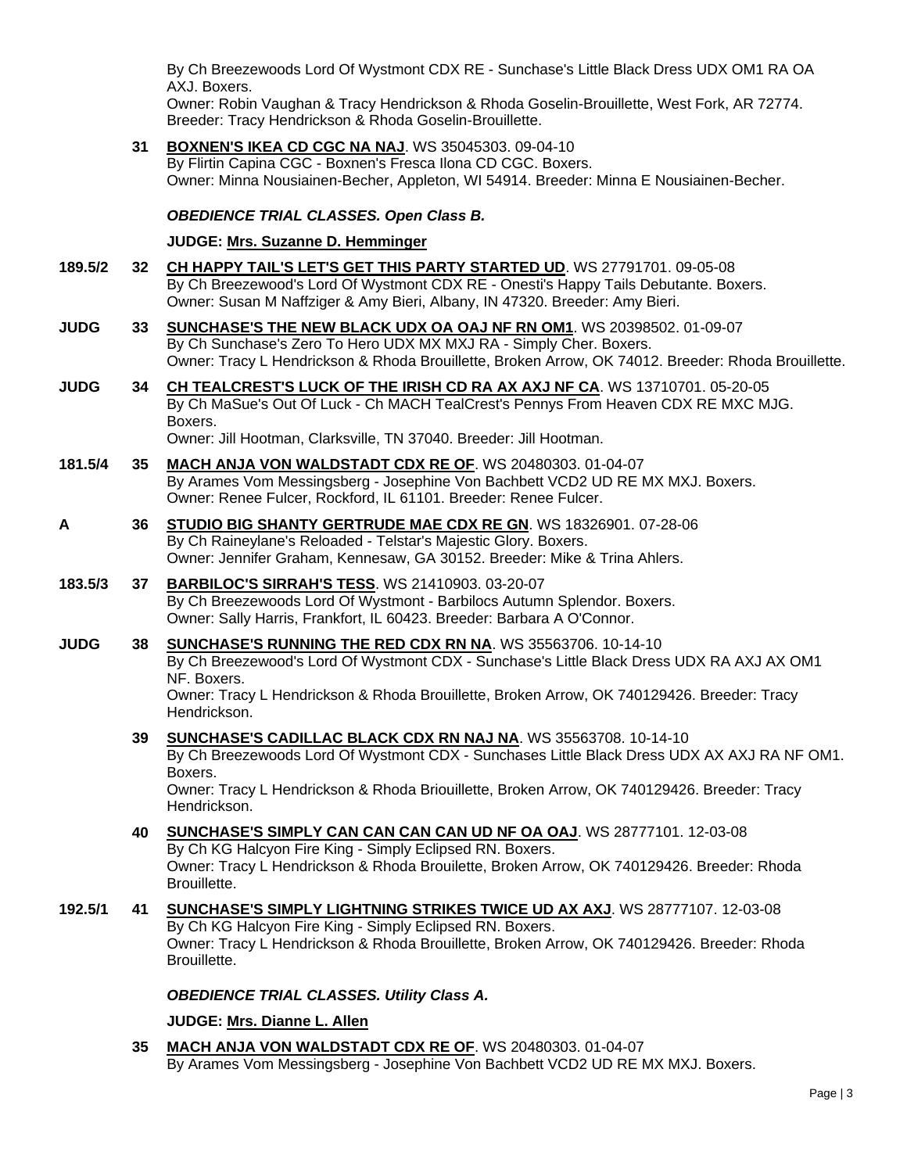By Ch Breezewoods Lord Of Wystmont CDX RE - Sunchase's Little Black Dress UDX OM1 RA OA AXJ. Boxers.

Owner: Robin Vaughan & Tracy Hendrickson & Rhoda Goselin-Brouillette, West Fork, AR 72774. Breeder: Tracy Hendrickson & Rhoda Goselin-Brouillette.

**31 [BOXNEN'S IKEA CD CGC NA NAJ](http://www.infodog.com/files/bdogrsl1.prg;makc=WS%2035045303;mdog=Boxnen_s_Ikea_CD_CGC_NA_NAJ;wins=all)**. WS 35045303. 09-04-10 By Flirtin Capina CGC - Boxnen's Fresca Ilona CD CGC. Boxers. Owner: Minna Nousiainen-Becher, Appleton, WI 54914. Breeder: Minna E Nousiainen-Becher.

## *OBEDIENCE TRIAL CLASSES. Open Class B.*

#### **JUDGE: [Mrs. Suzanne D. Hemminger](http://www.infodog.com/judges/15146/juddat.htm)**

- **189.5/2 32 [CH HAPPY TAIL'S LET'S GET THIS PARTY STARTED UD](http://www.infodog.com/files/bdogrsl1.prg;makc=WS%2027791701;mdog=Ch_Happy_Tail_s_Let_s_Get_This_Party_Started_UD;wins=all)**. WS 27791701. 09-05-08 By Ch Breezewood's Lord Of Wystmont CDX RE - Onesti's Happy Tails Debutante. Boxers. Owner: Susan M Naffziger & Amy Bieri, Albany, IN 47320. Breeder: Amy Bieri.
- **JUDG 33 [SUNCHASE'S THE NEW BLACK UDX OA OAJ NF RN OM1](http://www.infodog.com/files/bdogrsl1.prg;makc=WS%2020398502;mdog=Sunchase_s_The_New_Black_UDX_OA_OAJ_NF_RN_OM1;wins=all)**. WS 20398502. 01-09-07 By Ch Sunchase's Zero To Hero UDX MX MXJ RA - Simply Cher. Boxers. Owner: Tracy L Hendrickson & Rhoda Brouillette, Broken Arrow, OK 74012. Breeder: Rhoda Brouillette.
- **JUDG 34 [CH TEALCREST'S LUCK OF THE IRISH CD RA AX AXJ NF CA](http://www.infodog.com/files/bdogrsl1.prg;makc=WS%2013710701;mdog=Ch_TealCrest_s_Luck_Of_The_Irish_CD_RA_AX_AXJ_NF_CA;wins=all)**. WS 13710701. 05-20-05 By Ch MaSue's Out Of Luck - Ch MACH TealCrest's Pennys From Heaven CDX RE MXC MJG. Boxers.

Owner: Jill Hootman, Clarksville, TN 37040. Breeder: Jill Hootman.

- **181.5/4 35 [MACH ANJA VON WALDSTADT CDX RE OF](http://www.infodog.com/files/bdogrsl1.prg;makc=WS%2020480303;mdog=MACH_Anja_Von_Waldstadt_CDX_RE_OF;wins=all)**. WS 20480303. 01-04-07 By Arames Vom Messingsberg - Josephine Von Bachbett VCD2 UD RE MX MXJ. Boxers. Owner: Renee Fulcer, Rockford, IL 61101. Breeder: Renee Fulcer.
- **A 36 [STUDIO BIG SHANTY GERTRUDE MAE CDX RE GN](http://www.infodog.com/files/bdogrsl1.prg;makc=WS%2018326901;mdog=Studio_Big_Shanty_Gertrude_Mae_CDX_RE_GN;wins=all)**. WS 18326901. 07-28-06 By Ch Raineylane's Reloaded - Telstar's Majestic Glory. Boxers. Owner: Jennifer Graham, Kennesaw, GA 30152. Breeder: Mike & Trina Ahlers.
- **183.5/3 37 [BARBILOC'S SIRRAH'S TESS](http://www.infodog.com/files/bdogrsl1.prg;makc=WS%2021410903;mdog=Barbiloc_s_Sirrah_s_Tess;wins=all)**. WS 21410903. 03-20-07 By Ch Breezewoods Lord Of Wystmont - Barbilocs Autumn Splendor. Boxers. Owner: Sally Harris, Frankfort, IL 60423. Breeder: Barbara A O'Connor.
- **JUDG 38 [SUNCHASE'S RUNNING THE RED CDX RN NA](http://www.infodog.com/files/bdogrsl1.prg;makc=WS%2035563706;mdog=Sunchase_s_Running_The_Red_CDX_RN_NA;wins=all)**. WS 35563706. 10-14-10 By Ch Breezewood's Lord Of Wystmont CDX - Sunchase's Little Black Dress UDX RA AXJ AX OM1 NF. Boxers. Owner: Tracy L Hendrickson & Rhoda Brouillette, Broken Arrow, OK 740129426. Breeder: Tracy Hendrickson.
	- **39 [SUNCHASE'S CADILLAC BLACK CDX RN NAJ NA](http://www.infodog.com/files/bdogrsl1.prg;makc=WS%2035563708;mdog=Sunchase_s_Cadillac_Black_CDX_RN_NAJ_NA;wins=all)**. WS 35563708. 10-14-10 By Ch Breezewoods Lord Of Wystmont CDX - Sunchases Little Black Dress UDX AX AXJ RA NF OM1. Boxers. Owner: Tracy L Hendrickson & Rhoda Briouillette, Broken Arrow, OK 740129426. Breeder: Tracy Hendrickson.
	- **40 [SUNCHASE'S SIMPLY CAN CAN CAN CAN UD NF OA OAJ](http://www.infodog.com/files/bdogrsl1.prg;makc=WS%2028777101;mdog=Sunchase_s_Simply_Can_Can_Can_Can_UD_NF_OA_OAJ;wins=all)**. WS 28777101. 12-03-08 By Ch KG Halcyon Fire King - Simply Eclipsed RN. Boxers. Owner: Tracy L Hendrickson & Rhoda Brouilette, Broken Arrow, OK 740129426. Breeder: Rhoda Brouillette.
- **192.5/1 41 [SUNCHASE'S SIMPLY LIGHTNING STRIKES TWICE UD AX AXJ](http://www.infodog.com/files/bdogrsl1.prg;makc=WS%2028777107;mdog=Sunchase_s_Simply_Lightning_Strikes_Twice_UD_AX_AXJ;wins=all)**. WS 28777107. 12-03-08 By Ch KG Halcyon Fire King - Simply Eclipsed RN. Boxers. Owner: Tracy L Hendrickson & Rhoda Brouillette, Broken Arrow, OK 740129426. Breeder: Rhoda Brouillette.

# *OBEDIENCE TRIAL CLASSES. Utility Class A.*

**JUDGE: [Mrs. Dianne L. Allen](http://www.infodog.com/judges/5494/juddat.htm)**

**35 [MACH ANJA VON WALDSTADT CDX RE OF](http://www.infodog.com/files/bdogrsl1.prg;makc=WS%2020480303;mdog=MACH_Anja_Von_Waldstadt_CDX_RE_OF;wins=all)**. WS 20480303. 01-04-07 By Arames Vom Messingsberg - Josephine Von Bachbett VCD2 UD RE MX MXJ. Boxers.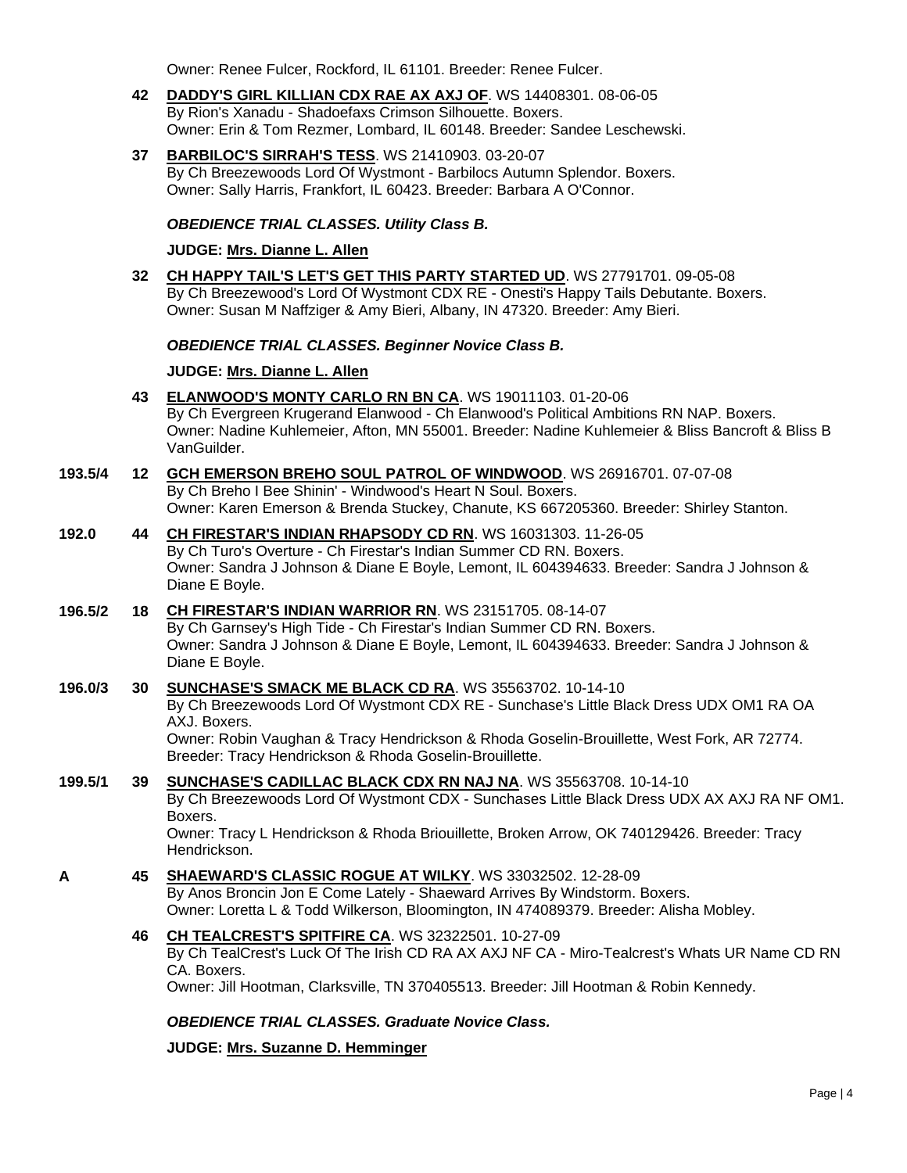Owner: Renee Fulcer, Rockford, IL 61101. Breeder: Renee Fulcer.

- **42 [DADDY'S GIRL KILLIAN CDX RAE AX AXJ OF](http://www.infodog.com/files/bdogrsl1.prg;makc=WS%2014408301;mdog=Daddy_s_Girl_Killian_CDX_RAE_AX_AXJ_OF;wins=all)**. WS 14408301. 08-06-05 By Rion's Xanadu - Shadoefaxs Crimson Silhouette. Boxers. Owner: Erin & Tom Rezmer, Lombard, IL 60148. Breeder: Sandee Leschewski.
- **37 [BARBILOC'S SIRRAH'S TESS](http://www.infodog.com/files/bdogrsl1.prg;makc=WS%2021410903;mdog=Barbiloc_s_Sirrah_s_Tess;wins=all)**. WS 21410903. 03-20-07 By Ch Breezewoods Lord Of Wystmont - Barbilocs Autumn Splendor. Boxers. Owner: Sally Harris, Frankfort, IL 60423. Breeder: Barbara A O'Connor.

### *OBEDIENCE TRIAL CLASSES. Utility Class B.*

#### **JUDGE: [Mrs. Dianne L. Allen](http://www.infodog.com/judges/5494/juddat.htm)**

**32 [CH HAPPY TAIL'S LET'S GET THIS PARTY STARTED UD](http://www.infodog.com/files/bdogrsl1.prg;makc=WS%2027791701;mdog=Ch_Happy_Tail_s_Let_s_Get_This_Party_Started_UD;wins=all)**. WS 27791701. 09-05-08 By Ch Breezewood's Lord Of Wystmont CDX RE - Onesti's Happy Tails Debutante. Boxers. Owner: Susan M Naffziger & Amy Bieri, Albany, IN 47320. Breeder: Amy Bieri.

#### *OBEDIENCE TRIAL CLASSES. Beginner Novice Class B.*

**JUDGE: [Mrs. Dianne L. Allen](http://www.infodog.com/judges/5494/juddat.htm)**

- **43 [ELANWOOD'S MONTY CARLO RN BN CA](http://www.infodog.com/files/bdogrsl1.prg;makc=WS%2019011103;mdog=Elanwood_s_Monty_Carlo_RN_BN_CA;wins=all)**. WS 19011103. 01-20-06 By Ch Evergreen Krugerand Elanwood - Ch Elanwood's Political Ambitions RN NAP. Boxers. Owner: Nadine Kuhlemeier, Afton, MN 55001. Breeder: Nadine Kuhlemeier & Bliss Bancroft & Bliss B VanGuilder.
- **193.5/4 12 [GCH EMERSON BREHO SOUL PATROL OF WINDWOOD](http://www.infodog.com/files/bdogrsl1.prg;makc=WS%2026916701;mdog=GCH_Emerson_Breho_Soul_Patrol_Of_Windwood;wins=all)**. WS 26916701. 07-07-08 By Ch Breho I Bee Shinin' - Windwood's Heart N Soul. Boxers. Owner: Karen Emerson & Brenda Stuckey, Chanute, KS 667205360. Breeder: Shirley Stanton.
- **192.0 44 [CH FIRESTAR'S INDIAN RHAPSODY CD RN](http://www.infodog.com/files/bdogrsl1.prg;makc=WS%2016031303;mdog=Ch_Firestar_s_Indian_Rhapsody_CD_RN;wins=all)**. WS 16031303. 11-26-05 By Ch Turo's Overture - Ch Firestar's Indian Summer CD RN. Boxers. Owner: Sandra J Johnson & Diane E Boyle, Lemont, IL 604394633. Breeder: Sandra J Johnson & Diane E Boyle.
- **196.5/2 18 [CH FIRESTAR'S INDIAN WARRIOR RN](http://www.infodog.com/files/bdogrsl1.prg;makc=WS%2023151705;mdog=Ch_Firestar_s_Indian_Warrior_RN;wins=all)**. WS 23151705. 08-14-07 By Ch Garnsey's High Tide - Ch Firestar's Indian Summer CD RN. Boxers. Owner: Sandra J Johnson & Diane E Boyle, Lemont, IL 604394633. Breeder: Sandra J Johnson & Diane E Boyle.
- **196.0/3 30 [SUNCHASE'S SMACK ME BLACK CD RA](http://www.infodog.com/files/bdogrsl1.prg;makc=WS%2035563702;mdog=Sunchase_s_Smack_Me_Black_CD_RA;wins=all)**. WS 35563702. 10-14-10 By Ch Breezewoods Lord Of Wystmont CDX RE - Sunchase's Little Black Dress UDX OM1 RA OA AXJ. Boxers. Owner: Robin Vaughan & Tracy Hendrickson & Rhoda Goselin-Brouillette, West Fork, AR 72774. Breeder: Tracy Hendrickson & Rhoda Goselin-Brouillette.
- **199.5/1 39 [SUNCHASE'S CADILLAC BLACK CDX RN NAJ NA](http://www.infodog.com/files/bdogrsl1.prg;makc=WS%2035563708;mdog=Sunchase_s_Cadillac_Black_CDX_RN_NAJ_NA;wins=all)**. WS 35563708. 10-14-10 By Ch Breezewoods Lord Of Wystmont CDX - Sunchases Little Black Dress UDX AX AXJ RA NF OM1. Boxers. Owner: Tracy L Hendrickson & Rhoda Briouillette, Broken Arrow, OK 740129426. Breeder: Tracy Hendrickson.
- **A 45 [SHAEWARD'S CLASSIC ROGUE AT WILKY](http://www.infodog.com/files/bdogrsl1.prg;makc=WS%2033032502;mdog=Shaeward_s_Classic_Rogue_At_Wilky;wins=all)**. WS 33032502. 12-28-09 By Anos Broncin Jon E Come Lately - Shaeward Arrives By Windstorm. Boxers. Owner: Loretta L & Todd Wilkerson, Bloomington, IN 474089379. Breeder: Alisha Mobley.
	- **46 [CH TEALCREST'S SPITFIRE CA](http://www.infodog.com/files/bdogrsl1.prg;makc=WS%2032322501;mdog=Ch_TealCrest_s_Spitfire_CA;wins=all)**. WS 32322501. 10-27-09 By Ch TealCrest's Luck Of The Irish CD RA AX AXJ NF CA - Miro-Tealcrest's Whats UR Name CD RN CA. Boxers. Owner: Jill Hootman, Clarksville, TN 370405513. Breeder: Jill Hootman & Robin Kennedy.

# *OBEDIENCE TRIAL CLASSES. Graduate Novice Class.*

**JUDGE: [Mrs. Suzanne D. Hemminger](http://www.infodog.com/judges/15146/juddat.htm)**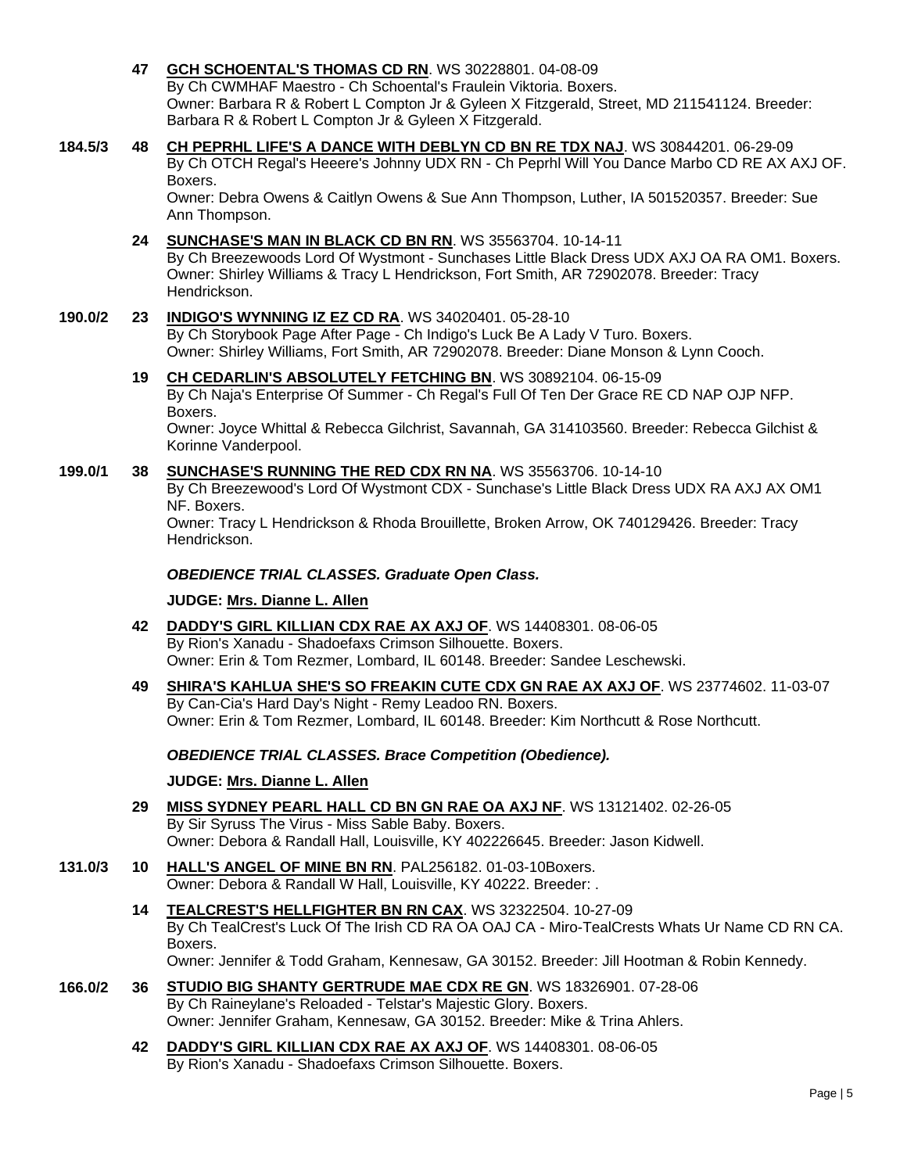- **47 [GCH SCHOENTAL'S THOMAS CD RN](http://www.infodog.com/files/bdogrsl1.prg;makc=WS%2030228801;mdog=GCH_Schoental_s_Thomas_CD_RN;wins=all)**. WS 30228801. 04-08-09 By Ch CWMHAF Maestro - Ch Schoental's Fraulein Viktoria. Boxers. Owner: Barbara R & Robert L Compton Jr & Gyleen X Fitzgerald, Street, MD 211541124. Breeder: Barbara R & Robert L Compton Jr & Gyleen X Fitzgerald.
- **184.5/3 48 [CH PEPRHL LIFE'S A DANCE WITH DEBLYN CD BN RE TDX NAJ](http://www.infodog.com/files/bdogrsl1.prg;makc=WS%2030844201;mdog=Ch_Peprhl_Life_s_A_Dance_With_DebLyn_CD_BN_RE_TDX_NAJ;wins=all)**. WS 30844201. 06-29-09 By Ch OTCH Regal's Heeere's Johnny UDX RN - Ch Peprhl Will You Dance Marbo CD RE AX AXJ OF. Boxers.

Owner: Debra Owens & Caitlyn Owens & Sue Ann Thompson, Luther, IA 501520357. Breeder: Sue Ann Thompson.

**24 [SUNCHASE'S MAN IN BLACK CD BN RN](http://www.infodog.com/files/bdogrsl1.prg;makc=WS%2035563704;mdog=Sunchase_s_Man_In_Black_CD_BN_RN;wins=all)**. WS 35563704. 10-14-11

By Ch Breezewoods Lord Of Wystmont - Sunchases Little Black Dress UDX AXJ OA RA OM1. Boxers. Owner: Shirley Williams & Tracy L Hendrickson, Fort Smith, AR 72902078. Breeder: Tracy Hendrickson.

# **190.0/2 23 [INDIGO'S WYNNING IZ EZ CD RA](http://www.infodog.com/files/bdogrsl1.prg;makc=WS%2034020401;mdog=Indigo_s_Wynning_Iz_Ez_CD_RA;wins=all)**. WS 34020401. 05-28-10

By Ch Storybook Page After Page - Ch Indigo's Luck Be A Lady V Turo. Boxers. Owner: Shirley Williams, Fort Smith, AR 72902078. Breeder: Diane Monson & Lynn Cooch.

**19 [CH CEDARLIN'S ABSOLUTELY FETCHING BN](http://www.infodog.com/files/bdogrsl1.prg;makc=WS%2030892104;mdog=Ch_Cedarlin_s_Absolutely_Fetching_BN;wins=all)**. WS 30892104. 06-15-09 By Ch Naja's Enterprise Of Summer - Ch Regal's Full Of Ten Der Grace RE CD NAP OJP NFP. Boxers.

Owner: Joyce Whittal & Rebecca Gilchrist, Savannah, GA 314103560. Breeder: Rebecca Gilchist & Korinne Vanderpool.

**199.0/1 38 [SUNCHASE'S RUNNING THE RED CDX RN NA](http://www.infodog.com/files/bdogrsl1.prg;makc=WS%2035563706;mdog=Sunchase_s_Running_The_Red_CDX_RN_NA;wins=all)**. WS 35563706. 10-14-10

By Ch Breezewood's Lord Of Wystmont CDX - Sunchase's Little Black Dress UDX RA AXJ AX OM1 NF. Boxers.

Owner: Tracy L Hendrickson & Rhoda Brouillette, Broken Arrow, OK 740129426. Breeder: Tracy Hendrickson.

## *OBEDIENCE TRIAL CLASSES. Graduate Open Class.*

## **JUDGE: [Mrs. Dianne L. Allen](http://www.infodog.com/judges/5494/juddat.htm)**

- **42 [DADDY'S GIRL KILLIAN CDX RAE AX AXJ OF](http://www.infodog.com/files/bdogrsl1.prg;makc=WS%2014408301;mdog=Daddy_s_Girl_Killian_CDX_RAE_AX_AXJ_OF;wins=all)**. WS 14408301. 08-06-05 By Rion's Xanadu - Shadoefaxs Crimson Silhouette. Boxers. Owner: Erin & Tom Rezmer, Lombard, IL 60148. Breeder: Sandee Leschewski.
- **49 [SHIRA'S KAHLUA SHE'S SO FREAKIN CUTE CDX GN RAE AX AXJ OF](http://www.infodog.com/files/bdogrsl1.prg;makc=WS%2023774602;mdog=Shira_s_Kahlua_She_s_So_Freakin_Cute_CDX_GN_RAE_AX_AXJ_OF;wins=all)**. WS 23774602. 11-03-07 By Can-Cia's Hard Day's Night - Remy Leadoo RN. Boxers. Owner: Erin & Tom Rezmer, Lombard, IL 60148. Breeder: Kim Northcutt & Rose Northcutt.

# *OBEDIENCE TRIAL CLASSES. Brace Competition (Obedience).*

#### **JUDGE: [Mrs. Dianne L. Allen](http://www.infodog.com/judges/5494/juddat.htm)**

- **29 [MISS SYDNEY PEARL HALL CD BN GN RAE OA AXJ NF](http://www.infodog.com/files/bdogrsl1.prg;makc=WS%2013121402;mdog=Miss_Sydney_Pearl_Hall_CD_BN_GN_RAE_OA_AXJ_NF;wins=all)**. WS 13121402. 02-26-05 By Sir Syruss The Virus - Miss Sable Baby. Boxers. Owner: Debora & Randall Hall, Louisville, KY 402226645. Breeder: Jason Kidwell.
- **131.0/3 10 [HALL'S ANGEL OF MINE BN RN](http://www.infodog.com/files/bdogrsl1.prg;makc=PAL256182;mdog=Hall_s_Angel_Of_Mine_BN_RN;wins=all)**. PAL256182. 01-03-10Boxers. Owner: Debora & Randall W Hall, Louisville, KY 40222. Breeder: .
	- **14 [TEALCREST'S HELLFIGHTER BN RN CAX](http://www.infodog.com/files/bdogrsl1.prg;makc=WS%2032322504;mdog=TealCrest_s_Hellfighter_BN_RN_CAX;wins=all)**. WS 32322504. 10-27-09 By Ch TealCrest's Luck Of The Irish CD RA OA OAJ CA - Miro-TealCrests Whats Ur Name CD RN CA. Boxers. Owner: Jennifer & Todd Graham, Kennesaw, GA 30152. Breeder: Jill Hootman & Robin Kennedy.
- **166.0/2 36 [STUDIO BIG SHANTY GERTRUDE MAE CDX RE GN](http://www.infodog.com/files/bdogrsl1.prg;makc=WS%2018326901;mdog=Studio_Big_Shanty_Gertrude_Mae_CDX_RE_GN;wins=all)**. WS 18326901. 07-28-06 By Ch Raineylane's Reloaded - Telstar's Majestic Glory. Boxers. Owner: Jennifer Graham, Kennesaw, GA 30152. Breeder: Mike & Trina Ahlers.
	- **42 [DADDY'S GIRL KILLIAN CDX RAE AX AXJ OF](http://www.infodog.com/files/bdogrsl1.prg;makc=WS%2014408301;mdog=Daddy_s_Girl_Killian_CDX_RAE_AX_AXJ_OF;wins=all)**. WS 14408301. 08-06-05 By Rion's Xanadu - Shadoefaxs Crimson Silhouette. Boxers.